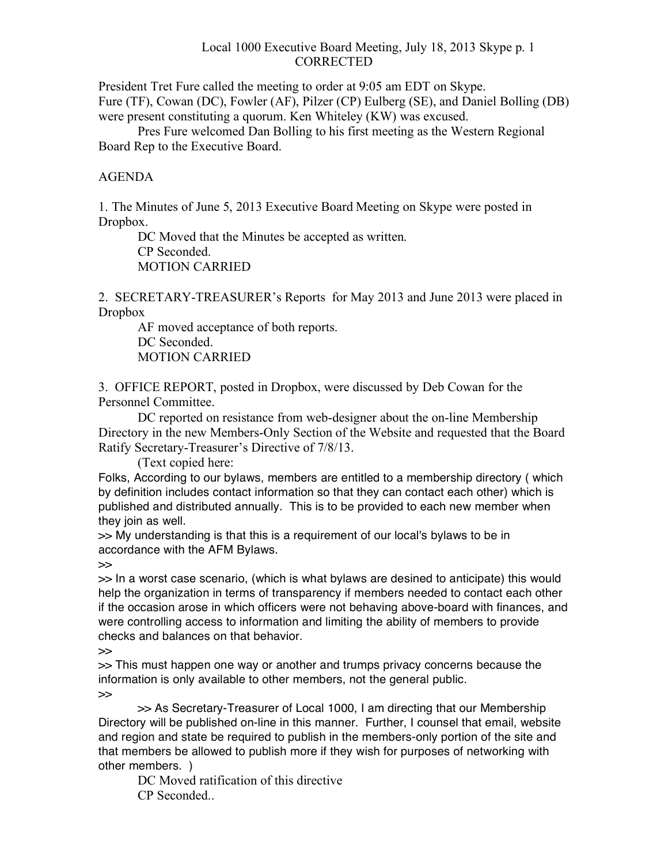#### Local 1000 Executive Board Meeting, July 18, 2013 Skype p. 1 **CORRECTED**

President Tret Fure called the meeting to order at 9:05 am EDT on Skype. Fure (TF), Cowan (DC), Fowler (AF), Pilzer (CP) Eulberg (SE), and Daniel Bolling (DB) were present constituting a quorum. Ken Whiteley (KW) was excused.

Pres Fure welcomed Dan Bolling to his first meeting as the Western Regional Board Rep to the Executive Board.

## AGENDA

1. The Minutes of June 5, 2013 Executive Board Meeting on Skype were posted in Dropbox.

DC Moved that the Minutes be accepted as written. CP Seconded. MOTION CARRIED

2. SECRETARY-TREASURER's Reports for May 2013 and June 2013 were placed in Dropbox

AF moved acceptance of both reports. DC Seconded. MOTION CARRIED

3. OFFICE REPORT, posted in Dropbox, were discussed by Deb Cowan for the Personnel Committee.

DC reported on resistance from web-designer about the on-line Membership Directory in the new Members-Only Section of the Website and requested that the Board Ratify Secretary-Treasurer's Directive of 7/8/13.

(Text copied here:

Folks, According to our bylaws, members are entitled to a membership directory ( which by definition includes contact information so that they can contact each other) which is published and distributed annually. This is to be provided to each new member when they join as well.

>> My understanding is that this is a requirement of our local's bylaws to be in accordance with the AFM Bylaws.

>>

>> In a worst case scenario, (which is what bylaws are desined to anticipate) this would help the organization in terms of transparency if members needed to contact each other if the occasion arose in which officers were not behaving above-board with finances, and were controlling access to information and limiting the ability of members to provide checks and balances on that behavior.

>>

>> This must happen one way or another and trumps privacy concerns because the information is only available to other members, not the general public.

>>

>> As Secretary-Treasurer of Local 1000, I am directing that our Membership Directory will be published on-line in this manner. Further, I counsel that email, website and region and state be required to publish in the members-only portion of the site and that members be allowed to publish more if they wish for purposes of networking with other members. )

DC Moved ratification of this directive CP Seconded..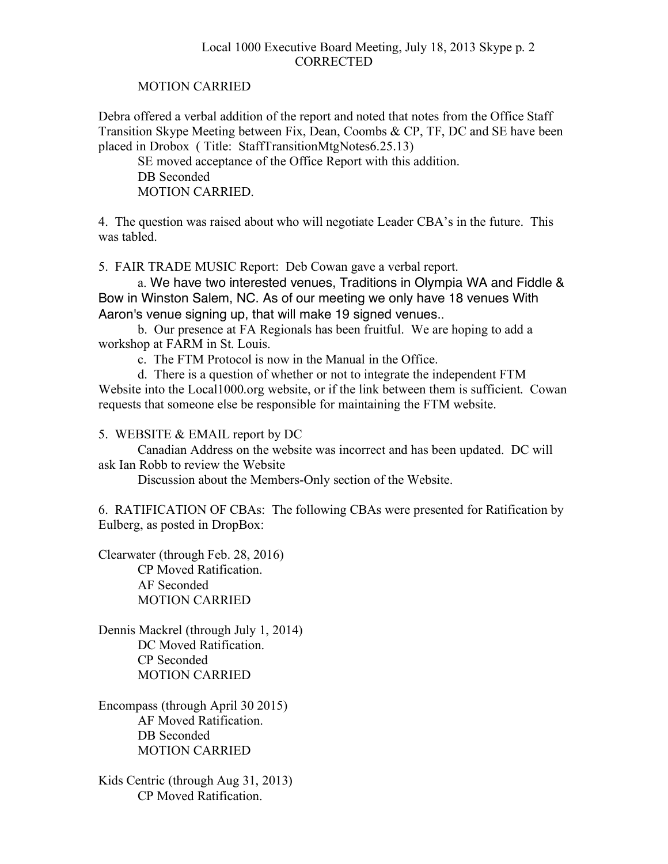### Local 1000 Executive Board Meeting, July 18, 2013 Skype p. 2 **CORRECTED**

## MOTION CARRIED

Debra offered a verbal addition of the report and noted that notes from the Office Staff Transition Skype Meeting between Fix, Dean, Coombs & CP, TF, DC and SE have been placed in Drobox ( Title: StaffTransitionMtgNotes6.25.13)

SE moved acceptance of the Office Report with this addition. DB Seconded MOTION CARRIED.

4. The question was raised about who will negotiate Leader CBA's in the future. This was tabled.

5. FAIR TRADE MUSIC Report: Deb Cowan gave a verbal report.

a. We have two interested venues, Traditions in Olympia WA and Fiddle & Bow in Winston Salem, NC. As of our meeting we only have 18 venues With Aaron's venue signing up, that will make 19 signed venues..

b. Our presence at FA Regionals has been fruitful. We are hoping to add a workshop at FARM in St. Louis.

c. The FTM Protocol is now in the Manual in the Office.

d. There is a question of whether or not to integrate the independent FTM Website into the Local1000.org website, or if the link between them is sufficient. Cowan requests that someone else be responsible for maintaining the FTM website.

5. WEBSITE & EMAIL report by DC

Canadian Address on the website was incorrect and has been updated. DC will ask Ian Robb to review the Website

Discussion about the Members-Only section of the Website.

6. RATIFICATION OF CBAs: The following CBAs were presented for Ratification by Eulberg, as posted in DropBox:

Clearwater (through Feb. 28, 2016) CP Moved Ratification. AF Seconded MOTION CARRIED

Dennis Mackrel (through July 1, 2014) DC Moved Ratification CP Seconded MOTION CARRIED

Encompass (through April 30 2015) AF Moved Ratification. DB Seconded MOTION CARRIED

Kids Centric (through Aug 31, 2013) CP Moved Ratification.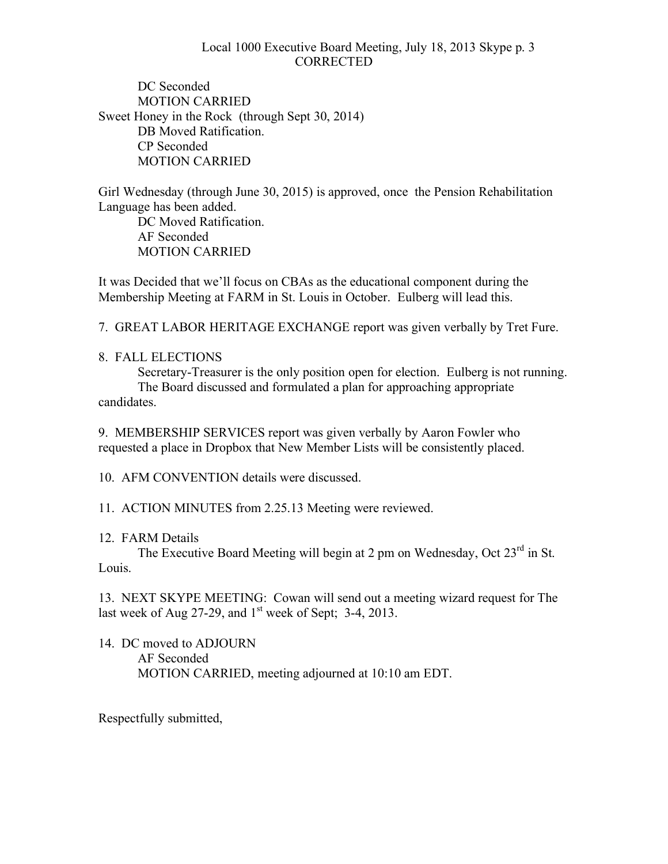## Local 1000 Executive Board Meeting, July 18, 2013 Skype p. 3 **CORRECTED**

DC Seconded MOTION CARRIED Sweet Honey in the Rock (through Sept 30, 2014) DB Moved Ratification. CP Seconded MOTION CARRIED

Girl Wednesday (through June 30, 2015) is approved, once the Pension Rehabilitation Language has been added.

DC Moved Ratification. AF Seconded MOTION CARRIED

It was Decided that we'll focus on CBAs as the educational component during the Membership Meeting at FARM in St. Louis in October. Eulberg will lead this.

7. GREAT LABOR HERITAGE EXCHANGE report was given verbally by Tret Fure.

8. FALL ELECTIONS

Secretary-Treasurer is the only position open for election. Eulberg is not running. The Board discussed and formulated a plan for approaching appropriate candidates.

9. MEMBERSHIP SERVICES report was given verbally by Aaron Fowler who requested a place in Dropbox that New Member Lists will be consistently placed.

10. AFM CONVENTION details were discussed.

11. ACTION MINUTES from 2.25.13 Meeting were reviewed.

# 12. FARM Details

The Executive Board Meeting will begin at 2 pm on Wednesday, Oct 23<sup>rd</sup> in St. Louis.

13. NEXT SKYPE MEETING: Cowan will send out a meeting wizard request for The last week of Aug 27-29, and  $1<sup>st</sup>$  week of Sept; 3-4, 2013.

14. DC moved to ADJOURN AF Seconded MOTION CARRIED, meeting adjourned at 10:10 am EDT.

Respectfully submitted,